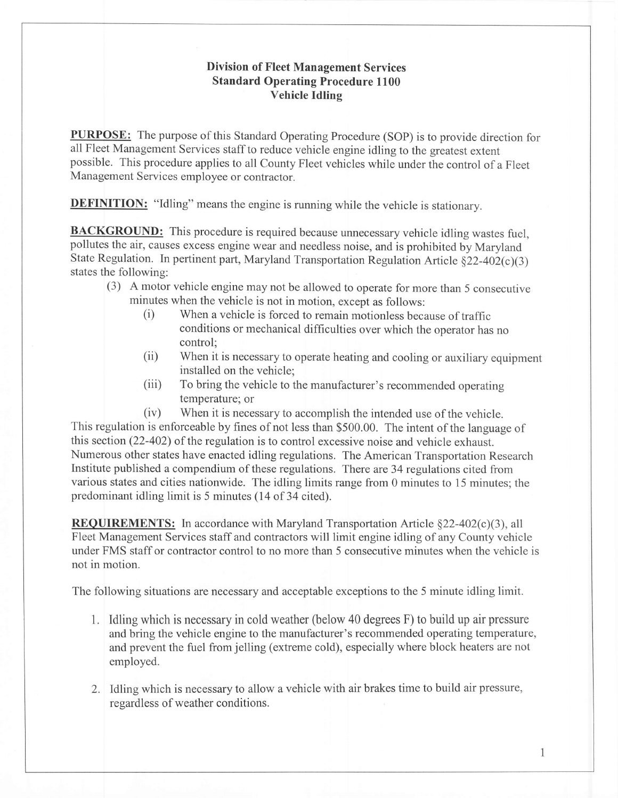## Division of Fleet Management Services Standard Operating Procedure 1100 Vehicle Idling

PURPOSE: The purpose of this Standard Operating Procedure (SOP) is to provide direction for all Fleet Management Services staff to reduce vehicle engine idling to the greatest extent possible. This procedure applies to all County Fleet vehicles while under the control of a Fleet Management Services employee or contractor.

**DEFINITION:** "Idling" means the engine is running while the vehicle is stationary.

**BACKGROUND:** This procedure is required because unnecessary vehicle idling wastes fuel, pollutes the air, causes excess engine wear and needless noise, and is prohibited by Maryland State Regulation. In pertinent part, Maryland Transportation Regulation Article  $\S22-402(c)(3)$ states the following:

- (3) A motor vehicle engine may not be allowed to operate for more than 5 consecutive minutes when the vehicle is not in motion, except as follows:
	- (i) When a vehicle is forced to remain motionless because of traffic conditions or mechanical difficulties over which the operator has no control;
	- (ii) When it is necessary to operate heating and cooling or auxiliary equipment installed on the vehicle;
	- (iii) To bring the vehicle to the manufacturer's recommended operating temperature; or

(iv) When it is necessary to accomplish the intended use of the vehicle. This regulation is enforceable by fines of not less than \$500.00. The intent of the language of this section (22-402) of the regulation is to control excessive noise and vehicle exhaust. Numerous other states have enacted idling regulations. The American Transportation Research Institute published a compendium of these regulations. There are 34 regulations cited from various states and cities nationwide. The idling limits range from 0 minutes to 15 minutes; the predominant idling limit is 5 minutes (14 of 34 cited).

**REQUIREMENTS:** In accordance with Maryland Transportation Article  $\S22-402(c)(3)$ , all Fleet Management Services staff and contractors will limit engine idling of any County vehicle under FMS staff or contractor control to no more than 5 consecutive minutes when the vehicle is not in motion.

The following situations are necessary and acceptable exceptions to the 5 minute idling limit.

- 1. Idling which is necessary in cold weather (below 40 degrees F) to build up air pressure and bring the vehicle engine to the manufacturer's recommended operating temperature, and prevent the fuel from jelling (extreme cold), especially where block heaters are not employed.
- 2. Idling which is necessary to allow a vehicle with air brakes time to build air pressure, regardless of weather conditions.

 $\mathbf{1}$